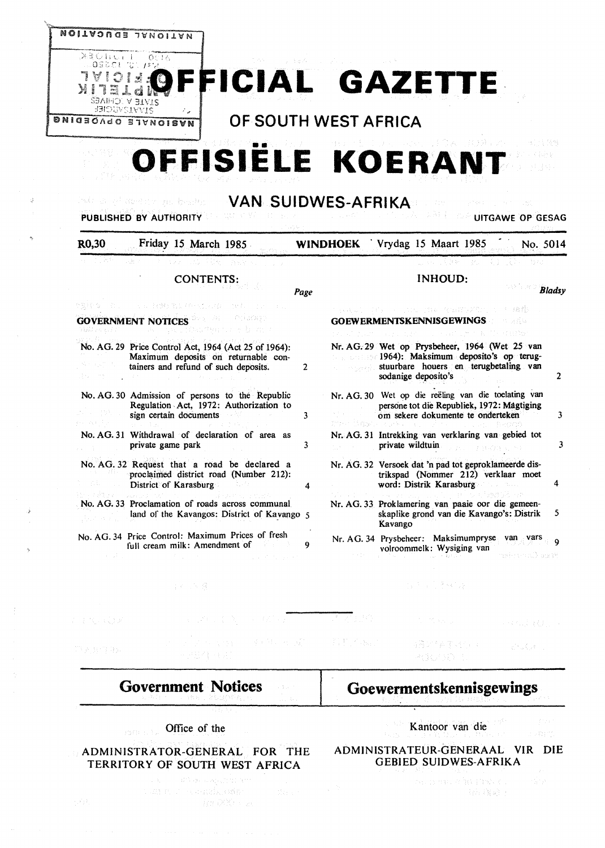

| R0,30 | Friday 15 March 1985                                                                                                                | <b>WINDHOEK</b> |                    | Vrydag 15 Maart 1985<br>No. 5014                                                                                                                                      |               |
|-------|-------------------------------------------------------------------------------------------------------------------------------------|-----------------|--------------------|-----------------------------------------------------------------------------------------------------------------------------------------------------------------------|---------------|
|       |                                                                                                                                     |                 |                    |                                                                                                                                                                       |               |
|       | <b>CONTENTS:</b>                                                                                                                    | Page            |                    | <b>INHOUD:</b>                                                                                                                                                        | <b>Bladsy</b> |
|       | 医正常 经继续的过去式和过去分词<br>1014 N 2010<br><b>GOVERNMENT NOTICES</b>                                                                        |                 |                    | <b>GOEWERMENTSKENNISGEWINGS</b>                                                                                                                                       |               |
|       | No. AG. 29 Price Control Act, 1964 (Act 25 of 1964):<br>Maximum deposits on returnable con-<br>tainers and refund of such deposits. | 2               | Public Protestants | Nr. AG. 29 Wet op Prysbeheer, 1964 (Wet 25 van<br><b>Example 1964</b> : Maksimum deposito's operture-<br>stuurbare houers en terugbetaling van<br>sodanige deposito's | 2             |
|       | No. AG. 30 Admission of persons to the Republic<br>Regulation Act, 1972: Authorization to<br>sign certain documents                 | 3               |                    | Nr. AG. 30 Wet op die reëling van die toelating van<br>persone tot die Republiek, 1972: Magtiging<br>om sekere dokumente te onderteken                                | 3             |
|       | No. AG. 31 Withdrawal of declaration of area as<br>private game park                                                                | 3               |                    | Nr. AG. 31 Intrekking van verklaring van gebied tot<br>private wildtuin                                                                                               | 3             |
|       | No. AG. 32 Request that a road be declared a<br>proclaimed district road (Number 212):<br>District of Karasburg                     | 4               |                    | Nr. AG. 32 Versoek dat 'n pad tot geproklameerde dis-<br>trikspad (Nommer 212) verklaar moet<br>word: Distrik Karasburg                                               | 4             |
|       | No. AG. 33 Proclamation of roads across communal<br>land of the Kavangos: District of Kavango 5                                     |                 |                    | Nr. AG. 33 Proklamering van paaie oor die gemeen-<br>skaplike grond van die Kavango's: Distrik<br>Kavango                                                             | 5             |
|       | No. AG. 34 Price Control: Maximum Prices of fresh<br>full cream milk: Amendment of                                                  | Q               |                    | Nr. AG. 34 Prysbeheer: Maksimumpryse van vars<br>volroommelk: Wysiging van<br>Massaul (Istoryk des                                                                    | ۰Q            |

# **Government Notices**

当め (下限)

医异体体变成的

## Office of the

## **ADMINISTRATOR-GENERAL FOR** THE **TERRITORY OF SOUTH WEST AFRICA**

anti-de-sezonimo ar

# **Goewermentskennisgewings**

4月27年前四位(1)

**Robert** 

rvening

2) 中国内产权的权

## Kantoor van die

## **ADMINISTRATEUR-GENERAAL VIR DIE**  GEBIED **SUIDWES-AFRIKA**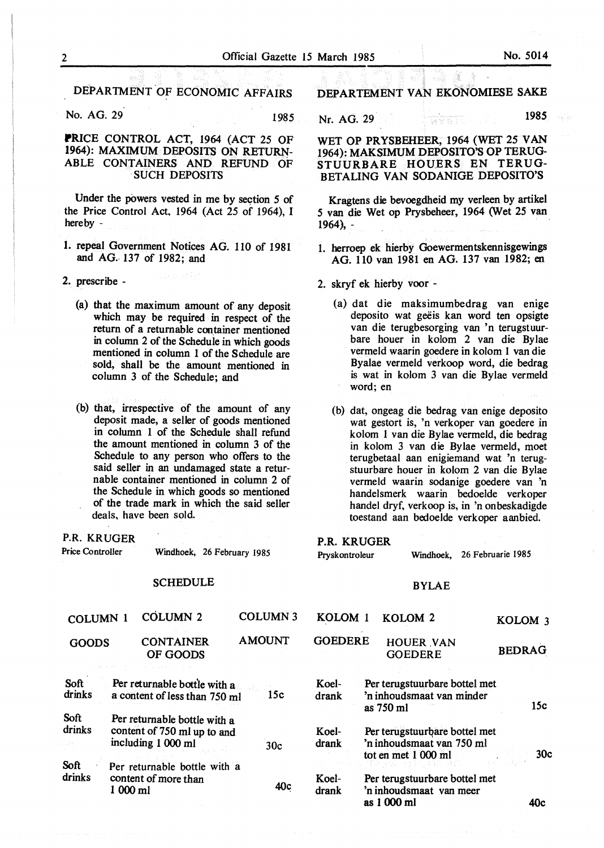DEPARTMENT OF ECONOMIC AFFAIRS

No. AG. 29 1985

## **PRICE** CONTROL ACT, 1964 (ACT 25 OF 1964): MAXIMUM DEPOSITS ON RETURN-ABLE CONTAINERS AND REFUND OF SUCH DEPOSITS

Under the powers vested in me by section 5 of the Price Control Act, 1964 (Act 25 of 1964), I hereby -

- I. repeal Government Notices AG. llO of 1981 and **AG ..** 137 of 1982; and
- 2. prescribe
	- (a) that the maximum amount of any deposit which may be required in respect of the return of a returnable container mentioned in column 2 of the Schedule in which goods mentioned in column 1 of the Schedule are sold, shall be the amount mentioned in column 3 of the Schedule; and
	- (b) that, irrespective of the amount of any deposit made, a seller of goods mentioned in column 1 of the Schedule shall refund the amount mentioned in column 3 of the Schedule to any person who offers to the said seller in an undamaged state a returnable container mentioned in column 2 of the Schedule in which goods so mentioned of the trade mark in which the said seller deals, have been sold.

P.R. KRUGER

Price Controller Windhoek, 26 February 1985

## **SCHEDULE**

DEPARTEMENT VAN EKONOMIESE SAKE

Nr. AG. 29 *198S* 

WET OP PRYSBEHEER, 1964 (WET 25 VAN 1964): MAKSIMUM DEPOSITO'S OP TERUG-STUURBARE HOUERS EN TERUG-BETALING VAN SODANIGE DEPOSITO'S

Kragtens die bevoegdheid my verleen by artikel *S* van die Wet op Prysbeheer, 1964 (Wet 25 van 1964), -

- I. herroep ek hierby Goewermentskennisgewings AG. 110 van 1981 en AG. 137 van 1982; en
- 2. skryf ek hierby voor
	- (a) dat die maksimumbedrag van enige deposito wat geëis kan word ten opsigte van die terugbesorging van 'n terugstuurbare houer in kolom 2 van die Bylae vermeld waarin goedere in kolom 1 van die Byalae vermeld verkoop word, die bedrag is wat in kolom 3 van die Bylae vermeld word; en
	- (b) dat, ongeag die bedrag van enige deposito wat gestort is, 'n verkoper van goedere in kolom 1 van die Bylae vermeld, die bedrag in kolom 3 van die Bylae vermeld, moet terugbetaal aan enigiemand wat 'n terugstuurbare houer in kolom 2 van die Bylae vermeld waarin sodanige goedere van 'n handelsmerk waarin bedoelde verkoper handel dryf, verkoop is, in 'n onbeskadigde toestand aan bedoelde verkoper aanbied.

#### P.R. KRUGER

| Pryskontroleur |                        | Windhoek, 26 Februarie 1985 |
|----------------|------------------------|-----------------------------|
|                | <b>BYLAE</b>           |                             |
|                | <b>VOIOM 1 VOIOM 2</b> | .                           |

| COLUMN 1              |           | <b>COLUMN 2</b>                                                                   |               | COLUMN <sub>3</sub> | KOLOM <sub>1</sub> | KOLOM <sub>2</sub>                                                                                    | KOLOM <sub>3</sub> |
|-----------------------|-----------|-----------------------------------------------------------------------------------|---------------|---------------------|--------------------|-------------------------------------------------------------------------------------------------------|--------------------|
| <b>GOODS</b>          |           | <b>CONTAINER</b><br>OF GOODS                                                      | <b>AMOUNT</b> |                     | <b>GOEDERE</b>     | <b>HOUER VAN</b><br><b>GOEDERE</b>                                                                    | <b>BEDRAG</b>      |
| Soft<br>drinks        |           | Per returnable bottle with a<br>a content of less than 750 ml                     |               | 15c                 | Koel-<br>drank     | Per terugstuurbare bottel met<br>'n inhoudsmaat van minder<br>as 750 ml                               | 15c                |
| <b>Soft</b><br>drinks |           | Per returnable bottle with a<br>content of 750 ml up to and<br>including 1 000 ml |               | 30c                 | Koel-<br>drank     | Per terugstuurbare bottel met<br>'n inhoudsmaat van 750 ml<br>tot en met 1 000 ml                     | 30c                |
| Soft<br>drinks        | $1000$ ml | Per returnable bottle with a<br>content of more than                              |               | 40c                 | Koel-<br>drank     | 전쟁의 이 가장 없이 그 위로 보이지 않을 때?<br>Per terugstuurbare bottel met<br>'n inhoudsmaat van meer<br>as 1 000 ml | 40c                |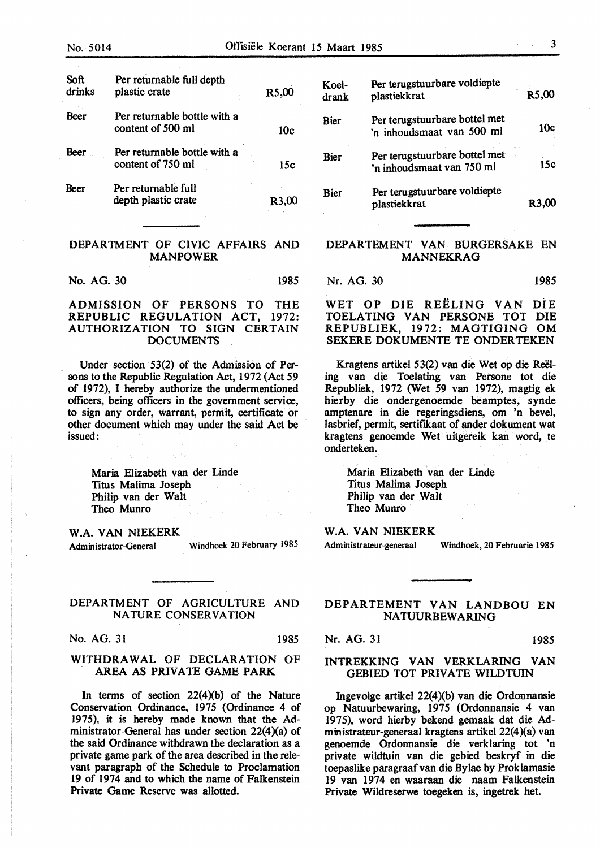| Soft<br>drinks | Per returnable full depth<br>plastic crate        | R5,00           |
|----------------|---------------------------------------------------|-----------------|
| Beer           | Per returnable bottle with a<br>content of 500 ml | 10 <sub>c</sub> |
| <b>Beer</b>    | Per returnable bottle with a<br>content of 750 ml | 15c             |
| Beer           | Per returnable full<br>depth plastic crate        | R3.             |

## DEPARTMENT OF CIVIC AFFAIRS AND MANPOWER

No. AG. 30 1985

## ADMISSION OF PERSONS TO THE REPUBLIC REGULATION ACT, 1972: AUTHORIZATION TO SIGN CERTAIN **DOCUMENTS**

Under section  $53(2)$  of the Admission of Persons to the Republic Regulation Act, 1972 (Act *59*  of 1972), I hereby authorize the undermentioned officers, being officers in the government service, to sign any order, warrant, permit, certificate or other document which may under the said Act be issued:

Maria Elizabeth van der Linde Titus Malima Joseph Philip van der Walt Theo Munro

**W.A. VAN NIEKERK** 

Administrator-General Windhoek 20 February 1985

## DEPARTMENT OF AGRICULTURE AND NATURE CONSERVATION

No. AG. 31 1985

## WITHDRAWAL OF DECLARATION OF AREA AS PRIVATE GAME PARK

In terms of section  $22(4)(b)$  of the Nature Conservation Ordinance, 1975 (Ordinance 4 of 1975), it is hereby made known that the Administrator-General has under section  $22(4)(a)$  of the said Ordinance withdrawn the declaration as a private game park of the area described in the relevant paragraph of the Schedule to Proclamation 19 of 1974 and to which the name of Falkenstein Private Game Reserve was allotted.

| Koel-<br>drank | Per terugstuurbare voldiepte<br>plastiekkrat               | cia.<br>R5,00      |
|----------------|------------------------------------------------------------|--------------------|
| Bier           | Per terugstuurbare bottel met<br>'n inhoudsmaat van 500 ml | 10c                |
| Bier           | Per terugstuurbare bottel met<br>'n inhoudsmaat van 750 ml | 15c                |
| Bier           | Per terugstuurbare voldiepte<br>plastiekkrat               | R <sub>3</sub> ,00 |

## DEPARTEMENT VAN BURGERSAKE EN MANNEKRAG

Nr. AG. 30 1985

WET OP DIE REELING VAN DiE TOELATING VAN PERSONE TOT DIE REPUBLIEK, 1972: MAGTIGING OM SEKERE DOKUMENTE TE ONDERTEKEN

Kragtens artikel 53(2) van die Wet op die Reeling van die Toelating van Persone tot die Republiek, 1972 (Wet 59 van 1972), magtig ek hierby die ondergenoemde beamptes, synde amptenare in die regeringsdiens, om 'n bevel, lasbrief, permit, sertifikaat of ander dokument wat kragtens genoemde Wet uitgereik kan word, te onderteken.

Maria Elizabeth van der Linde Titus Malima Joseph Philip van der Walt Theo Munro

## **W.A. VAN NIEKERK**

Administrateur-generaal Windhoek, 20 Februarie 1985

## DEPARTEMENT VAN LANDBOU EN NATUURBEWARING

Nr. AG. 31 1985

## INTREKKING VAN VERKLARING VAN GEBIED TOT PRIVATE WILDTUIN

Ingevolge artikel  $22(4)(b)$  van die Ordonnansie op Natuurbewaring, 1975 (Ordonnansie 4 van 1975), word hierby bekend gemaak dat die Administrateur-generaal kragtens artikel 22(4)(a) van genoemde Ordonnansie die verklaring tot 'n private wildtuin van die gebied beskryf in die toepaslike paragraafvan die Bylae by Proklamasie 19 van 1974 en waaraan die naam Falkenstein Private Wildreserwe toegeken is, ingetrek bet.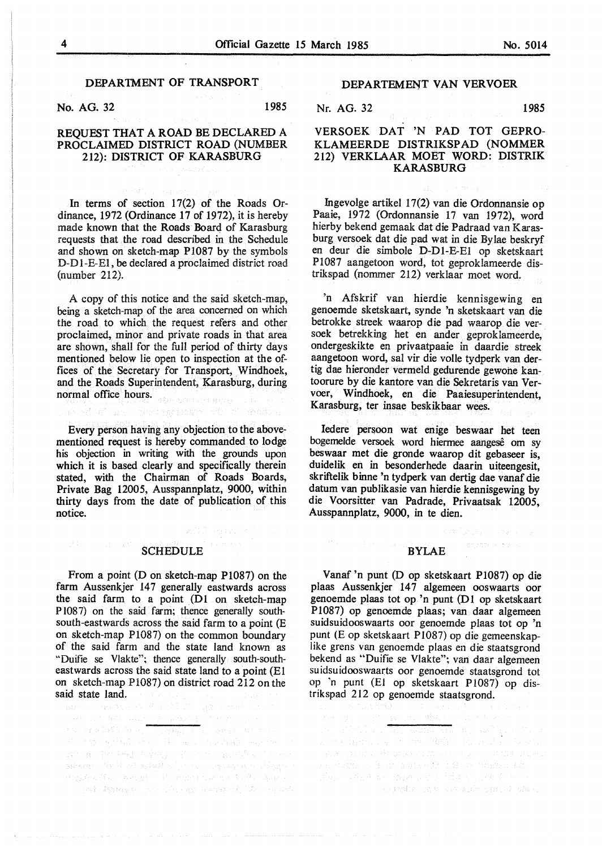#### DEPARTMENT OF TRANSPORT

No. AG. 32 1985

## REQUEST THAT A ROAD BE DECLARED A PROCLAIMED DISTRICT ROAD (NUMBER 212): DISTRICT OF KARASBURG

In terms of section 17(2) of the Roads Ordinance, 1972 (Ordinance 17 of 1972), it is hereby made known that the Roads Board of Karasburg requests that the road described in the Schedule and shown on sketch-map P1087 by the symbols D-D 1-E-El, be declared a proclaimed district road (number 212).

A copy of this notice and the said sketch-map, being a sketch-map of the area concerned on which the road to which the request refers and other proclaimed, minor and private roads in that area are shown, shall for the full period of thirty days mentioned below lie open to inspection at the offices of the Secretary for Transport, Windhoek, and the Roads Superintendent, Karasburg, during normal office hours.

real of use composition of anony

Every person having any objection to the abovementioned request is hereby commanded to lodge his objection in writing with the grounds upon which it is based clearly and specifically therein stated, with the Chairman of Roads Boards, Private Bag 12005, Ausspannplatz, 9000, within thirty days from the date of publication of this notice.

#### SCHEDULE

化封闭 全球

From a point (D on sketch-map P1087) on the farm Aussenkjer 147 generally eastwards across the said farm to a point  $(D1$  on sketch-map Pl087) on the said farm; thence generally southsouth-eastwards across the said farm to a point (E on sketch-map P1087) on the common boundary of the said farm and the state land known as "Duifie se Vlakte"; thence generally south-southeastwards across the said state land to a point (El on sketch-map P1087) on district road 212 on the

said state land. The second group  $\frac{1}{2}$  and  $\frac{1}{2}$  and  $\frac{1}{2}$  and  $\frac{1}{2}$  and  $\frac{1}{2}$  and  $\frac{1}{2}$  and  $\frac{1}{2}$  and  $\frac{1}{2}$  and  $\frac{1}{2}$  and  $\frac{1}{2}$  and  $\frac{1}{2}$  and  $\frac{1}{2}$  and  $\frac{1}{2}$  and  $\frac{1$ โรมทั่ว เปราสงครั้ง และเรา เขาได้เช่นที่จะได้ ก็การจะทำการเรา<br>คุณการเขาตัดรัฐบาลเว็บ เรื่องเรื่องเรื่องการเขาตัดรัฐบาลเร็ว เรื่องการเขาตัด<br>เข้าการกลุ่ม ผู้เข้าตัดรัฐบาลเขาการเขาตัดรัฐบาลเขาตัดรัฐบาลเมติดรัฐบาลเมติดรัฐบาลเ sieken ster is ad nabylt with the consequence diagnos stati kanas sa ta'u nama sa ta'u ba'a ta sa sh

## DEPARTEMENT VAN VERVOER

## Nr. AG. 32 1985

## **VERSOEK DAT 'N PAD TOT GEPRO-KLAMEERDE DISTRIKSPAD (NOMMER**  212) **VERKLAAR MOET WORD: DISTRIK KARASBURG**

lngevolge artikel 17(2) van die Ordonnansie op Paaie, 1972 (Ordonnansie 17 van 1972), word hierby bekend gemaak dat die Padraad van Karasburg versoek dat die pad wat in die Bylae beskryf en deur die simbole D-Dl-E-El op sketskaart P1087 aangetoon word, tot geproklameerde distrikspad (nomrner 212) verklaar moet word.

'n Afskrif van hierdie kennisgewing en genoemde sketskaart, synde 'n sketskaart van die betrokke streek waarop die pad waarop die versoek betrekking het en ander geproklameerde, ondergeskikte en privaatpaaie in daardie streek aangetoon word, sal vir die volle tydperk van dertig dae hieronder vermeld gedurende gewone kantoorure by die kantore van die Sekretaris van Vervoer, Windhoek, en die Paaiesuperintendent, Karasburg, ter insae beskikbaar wees.

Iedere persoon wat enige beswaar het teen bogemelde versoek word hiermee aangese om sy beswaar met die gronde waarop dit gebaseer is, duidelik en in besonderhede daarin uiteengesit, skriftelik binne 'n tydperk van dertig dae vanaf die datum van publikasie van hierdie kennisgewing by die Voorsitter van Padrade, Privaatsak 12005, Ausspannplatz, 9000, in te dien.

#### BYLAE

Complete Construction

Vanaf 'n punt (D op sketskaart P1087) op die plaas Aussenkjer 147 algemeen ooswaarts oor genoemde plaas tot op 'n punt (DI op sketskaart P1087) op genoemde plaas; van daar algemeen suidsuidooswaarts oor genoemde plaas tot op 'n punt (E op sketskaart Pl087) op die gemeenskaplike grens van genoemde plaas en die staatsgrond bekend as "Duifie se Vlakte"; van daar algemeen suidsuidooswaarts oor genoemde staatsgrond tot op 'n punt (El op sketskaart Pl087) op distrikspad 212 op genoemde staatsgrond.

and the travels are the transformation of a subset of THE COMMON IS ON A RIST OF A SERVICE OF THE CONSTRUCTION s estable en voceala antilization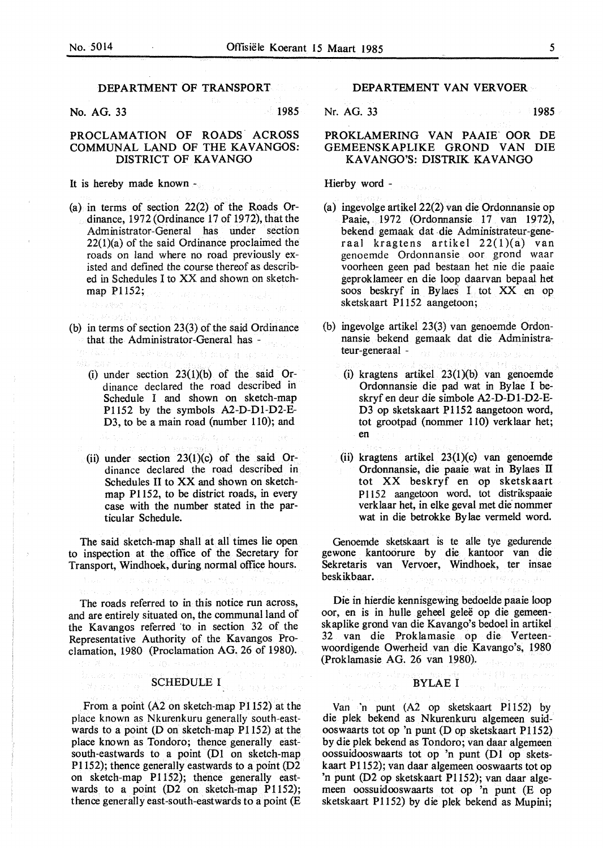## DEPARTMENT OF TRANSPORT

No. AG. 33 1985

n<br>Kalimatan

## PROCLAMATION OF ROADS ACROSS COMMUNAL LAND OF THE KAVANGOS: DISTRICT OF KAVANGO

It is hereby made known -

- (a) in terms of section 22(2) of the Roads Ordinance, 1972 (Ordinance 17 of 1972), that the Administrator-General has under section 22(1)(a) of the said Ordinance proclaimed the roads on land where no road previously existed and defined the course thereof as described in Schedules I to XX and shown on sketchmap P1152;
- (b) in terms of section 23(3) of the said Ordinance that the Administrator-General has -
	- (i) under section  $23(1)(b)$  of the said Ordinance declared the road described in Schedule I and shown on sketch-map Pl 152 by the symbols A2-D-Dl-D2-E-D3, to be a main road (number 110); and
	- (ii) under section  $23(1)(c)$  of the said Ordinance declared the road described in Schedules II to XX and shown on sketchmap Pl 152, to be district roads, in every case with the number stated in the particular Schedule.

The said sketch-map shall at all times lie open to inspection at the office of the Secretary for Transport, Windhoek, during normal office hours.

The roads referred to in this notice run across, and are entirely situated on, the communal land of the Kavangos referred to in section  $32$  of the Representative Authority of the Kavangos Proclamation, 1980 (Proclamation AG. 26 of 1980).

### SCHEDULE I

From a point (A2 on sketch-map P1152) at the place known as Nkurenkuru generally south-eastwards to a point (D on sketch-map  $P1152$ ) at the place known as Tondoro; thence generally eastsouth-eastwards to a point (Dl on sketch-map Pl 152); thence generally eastwards to a point (D2 on sketch-map Pl 152); thence generally eastwards to a point (D2 on sketch-map P1152); thence generally east-south-eastwards to a point (E

## DEPARTEMENT VAN VERVOER

Nr. AG. 33 1985.

## **PROKLAMERING VAN PAAiff OOR** DE **GEMEENSKAPLIKE GROND VAN** DIE **KA VAN GO'S: DISTRIK KA VAN GO**

Hierby word -

- (a) ingevolge artikel 22(2) van die Ordonnansie op Paaie, 1972 (Ordonnansie 17 van 1972), bekend gemaak dat die Administrateur-generaal kragtens artikel  $22(1)(a)$  van genoemde Ordonnansie oor grond waar voorheen geen pad bestaan het nie die paaie geproklameer en die loop daarvan bepaal het SOOS beskryf in Bylaes I tot xx en op sketskaart Pl 152 aangetoon;
- (b) ingevolge artikel 23(3) van genoemde Ordonnansie bekend gemaak dat die Administrateur-generaal -
	- (i) kragtens artikel 23(1)(b) van genoemde Ordonnansie die pad wat in By lae I beskryf en deur die simbole A2-D-Dl-D2-E-D3 op sketskaart P1152 aangetoon word, tot grootpad (nommer 110) verklaar het; en
	- (ii) kragtens artikel 23(1)(c) van genoemde Ordonnansie, die paaie wat in Bylaes II tot XX beskryf en op sketskaart P1152 aangetoon word, tot distrikspaaie verklaar het, in elke geval met die nommer wat in die betrokke By lae vermeld word.

Genoemde sketskaart is te alle tye gedurende gewone kantoorure by die kantoor van die Sekretaris van Vervoer, Windhoek, ter insae beskikbaar.

Die in hierdie kennisgewing bedoelde paaie loop oor, en is in hulle geheel gelee op die gemeenskaplike grond van die Kavango's bedoel in artikel 32 van die Proklamasie op die Verteenwoordigende Owerheid van die. Kavango's, 1980 (Proklamasie AG. 26 van 1980).

## BYLAE I

医细胞 医斜肌

Van 'n punt (A2 op sketskaart Pl152) by die plek bekend as Nkurenkuru algemeen suidooswaarts tot op 'n punt (D op sketskaart P1152) by die plek bekend as Tondoro; van daar algemeen oossuidooswaarts tot op 'n punt (D1 op sketskaart Pl 152); van daar algemeen ooswaarts tot op 'n punt (D2 op sketskaart Pl 152); van daar algemeen oossuidooswaarts tot op 'n punt (E op sketskaart Pl152) by die plek bekend as Mupini;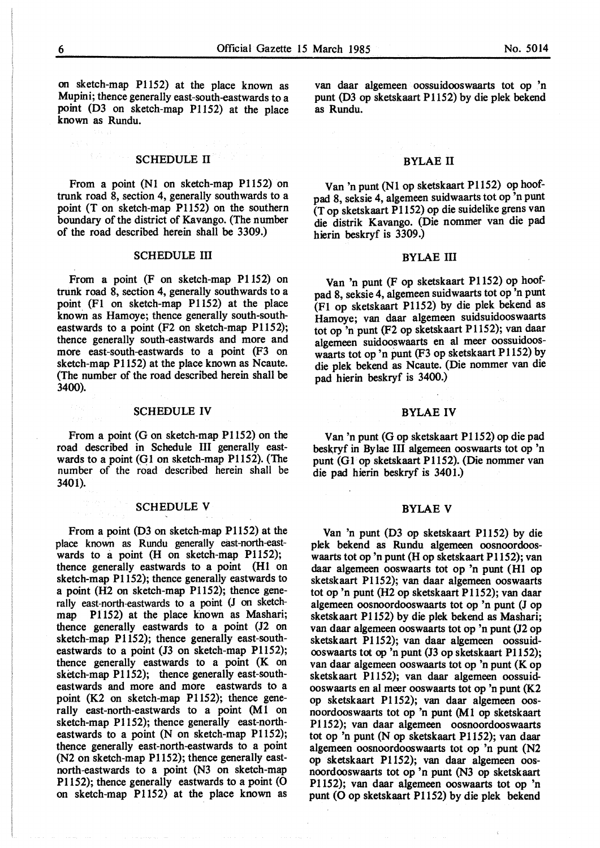on sketch-map Pl 152) at the place known as Mupini; thence generally east-south-eastwards to a point (D3 on sketch-map P1152) at the place known as Rundu.

## SCHEDULE II

From a point (Nl on sketch-map P1152) on trunk road 8, section 4, generally southwards to a point (T on sketch-map P1152) on the southern boundary of the district of Kavango. (The number of the road described herein shall be 3309.)

### SCHEDULE III

From a point (F on sketch-map Pl 152) on trunk road 8, section 4, generally southwards to a point (Fl on sketch-map Pl 152) at the place known as Hamoye; thence generally south-southeastwards to a point (F2 on sketch-map P1152); thence generally south-eastwards and more and more east-south-eastwards to a point (F3 on sketch-map Pl 152) at the place known as Ncaute. (The number of the road described herein shall be 3400).

#### SCHEDULE IV

From a point (G on sketch-map Pl 152) on the road described in Schedule III generally eastwards to a point (G1 on sketch-map P1152). (The number of the road described herein shall be 3401).

#### SCHEDULE V

From a point (D3 on sketch-map P1152) at the place known as Rundu generally east-north-eastwards to a point (H on sketch-map P1152); thence generally eastwards to a point (H1 on sketch-map Pl 152); thence generally eastwards to a point (H2 on sketch-map Pl 152); thence generally east-north-eastwards to a point (J on sketchmap Pl 152) at the place known as Mashari; thence generally eastwards to a point (J2 on sketch-map Pl 152); thence generally east-southeastwards to a point (J3 on sketch-map P1152); thence generally eastwards to a point (K on sketch-map Pl 152); thence generally east-southeastwards and more and more eastwards to a point (K2 on sketch-map P1152); thence generally east-north-eastwards to a point  $(M1)$  on sketch-map Pl152); thence generally east-northeastwards to a point (N on sketch-map P1152); thence generally east-north-eastwards to a point (N2 on sketch-map P1152); thence generally eastnorth-eastwards to a point (N3 on sketch-map P1152); thence generally eastwards to a point (O on sketch-map P1152) at the place known as

van daar algemeen oossuidooswaarts tot op 'n punt (D3 op sketskaart P1152) by die plek bekend as Rundu.

## BYLAE II

Van 'n punt (Nl op sketskaart Pl 152) op hoofpad 8, seksie 4, algemeen suidwaarts tot op 'n punt (Top sketskaart Pl 152) op die suidelike grens van die distrik Kavango. (Die nommer van die pad hierin beskryf is 3309.)

#### BYLAE III

Van 'n punt (F op sketskaart P1152) op hoofpad 8, seksie 4, algemeen suidwaarts tot op 'n punt (Fl op sketskaart P1152) by die plek bekend as Hamoye; van daar algemeen suidsuidooswaarts tot op 'n punt (F2 op sketskaart P1152); van daar algemeen suidooswaarts en al meer oossuidooswaarts tot op 'n punt (F3 op sketskaart P1152) by die plek bekend as Ncaute. (Die nommer van die pad hierin beskryf is 3400.)

#### BYLAEIV

Van 'n punt (G op sketskaart Pl 152) op die pad beskryf in Bylae III algemeen ooswaarts tot op 'n punt (Gl op sketskaart P1152). (Die nommer van die pad hierin beskryf is 3401.)

#### BYLAE V

Van 'n punt (D3 op sketskaart P1152) by die plek bekend as Rundu algemeen oosnoordooswaarts tot op 'n punt (H op sketskaart P1152); van daar algemeen ooswaarts tot op 'n punt (HI op sketskaart P1152); van daar algemeen ooswaarts tot op 'n punt (H2 op sketskaart P 1152); van daar algemeen oosnoordooswaarts tot op 'n punt (J op sketskaart Pl 152) by die plek bekend as Mashari; van daar algemeen ooswaarts tot op 'n punt (J2 op sketskaart Pl 152); van daar algemeen oossuidooswaarts tot op 'n punt (J3 op sketskaart Pl 152); van daar algemeen ooswaarts tot op 'n punt (K op sketskaart P1152); van daar algemeen oossuidooswaarts en al meer ooswaarts tot op 'n punt (K.2 op sketskaart P1152); van daar algemeen oosnoordooswaarts tot op 'n punt (M 1 op sketskaart Pl 152); van daar algemeen oosnoordooswaarts tot op 'n punt (N op sketskaart Pl 152); van daar algemeen oosnoordooswaarts tot op 'n punt (N2 op sketskaart Pl 152); van daar algemeen oosnoordooswaarts tot op 'n punt (N3 op sketskaart Pl 152); van daar algemeen ooswaarts tot op 'n punt (O op sketskaart P1152) by die plek bekend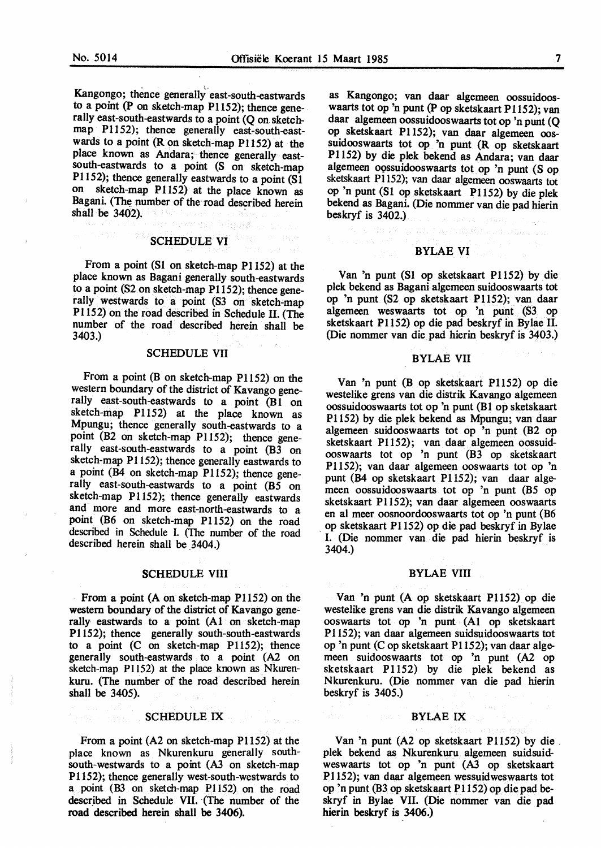Kangongo; thence generally east-south-eastwards to a point (P on sketch-map Pl 152); thence gene-. rally east-south-eastwards to a point (Q on sketchmap P1152); thence generally east-south-eastwards to a point (R on sketch-map P1152) at the place known as Andara; thence generally eastsouth-eastwards to a point (S on sketch-map Pl 152); thence generally eastwards to a point (Sl on sketch-map Pl152) at the place known as Bagani. (The number of the road described herein shall be 3402).

#### SCHEDULE VI

From a point (Sl on sketch-map Pl 152) at the place known as Bagani generally south-eastwards to a point (S2 on sketch-map Pl 152); thence generally westwards to a point (S3 on sketch-map Pl 152) on the road described in Schedule II. (The number of the road described herein shall be 3403.)

#### SCHEDULE VII

From a point (B on sketch-map P1152) on the western boundary of the district of Kavango generally east-south-eastwards to a point (B1 on sketch-map Pl 152) at the place known as Mpungu; thence generally south-eastwards to a point (B2 on sketch-map P1152); thence generally east-south-eastwards to a point (B3 on sketch-map Pl 152); thence generally eastwards to a point (B4 on sketch-map Pl 152); thence generally east-south-eastwards to a point  $(B5 \text{ on }$ sketch-map Pl 152); thence generally eastwards and more and more east-north-eastwards to a point (B6 on sketch-map P1152) on the road described in Schedule I. (The number of the road described herein shall be \_3404.)

#### **SCHEDULE VIII**

From a point (A on sketch-map Pl 152) on the western boundary of the district of Kavango generally eastwards to a point (Al on sketch-map Pl 152); thence generally south-south-eastwards to a point (C on sketch-map P1152); thence generally south-eastwards to a point (A2 on sketch-map P1152) at the place known as Nkurenkuru. (The number of the road described herein shall be 3405).

#### SCHEDULE IX

From a point (A2 on sketch-map P1152) at the place known as Nkurenkuru generally south- south-westwards to a point (A3 on sketch-map P1152); thence generally west-south-westwards to a point (B3 on sketch-map Pl 152) on the road described in Schedule VII. (The number of the **road described herein shall be 3406).** 

as Kangongo; van daar algemeen oossuidooswaarts tot op 'n punt (P op sketskaart P1152); van daar algemeen oossuidooswaarts tot op 'n punt (Q op sketskaart Pl 152); van daar algemeen oossuidooswaarts tot op 'n punt (R op sketskaart Pl 152) by die plek bekend as Andara; van daar algemeen oossuidooswaarts tot op 'n punt (S op sketskaart Pl 152); van daar algemeen ooswaarts tot op 'n punt (Sl op sketskaart Pl 152) by die plek bekend as Bagani. (Die nommer van die pad hierin beskryf is 3402.)

## BYLAE VI

Van 'n punt {Sl op sketskaart P1152) by die plek bekend as Bagani algemeen suidooswaarts tot op 'n punt {S2 op sketskaart Pl 152); van daar algemeen weswaarts tot op 'n punt (S3 op sketskaart Pl 152) op die pad beskryf in Bylae II. {Die nommer van die pad hierin beskryf is 3403.)

#### BYLAE VII

Van 'n punt {B op sketskaart P1152) op die westelike grens van die distrik Kavango algemeen oossuidooswaarts tot op 'n punt {Bl op sketskaart Pl 152) by die plek bekend as Mpungu; van daar algemeen suidooswaarts tot op 'n punt {B2 op sketskaart P1152); van daar algemeen oossuidooswaarts tot op 'n punt (B3 op sketskaart Pl 152); van daar algemeen ooswaarts tot op 'n punt {B4 op sketskaart Pl 152); van daar algemeen oossuidooswaarts tot op 'n punt {B5 op sketskaart P1152); van daar algemeen ooswaarts en al meer oosnoordooswaarts tot op 'n punt {B6 . op sketskaart Pl 152) op die pad beskryf in Bylae I. {Die nommer van die pad hierin beskryf is 3404.)

#### BYLAE VIII

Van 'n punt (A op sketskaart Pl 152) op die westelike grens van die distrik Kavango algemeen ooswaarts tot op 'n punt (Al op sketskaart Pl 152); van daar algemeen suidsuidooswaarts tot op 'n punt (C op sketskaart P1152); van daar algemeen suidooswaarts tot op 'n punt {A2 op sketskaart P1152) by die plek bekend as Nkurenkuru. {Die nommer van die pad hierin beskryf is 3405.)

#### BYLAE IX

Van 'n punt {A2 op sketskaart P1152) by die. plek bekend as Nkurenkuru algemeen suidsuidweswaarts tot op 'n punt (A3 op sketskaart Pl 152); van daar algemeen wessuidweswaarts tot op 'n punt {B3 op sketskaart P1152) op die pad beskryf in Bylae VII. {Die nommer van die pad hierin beskryf is 3406.)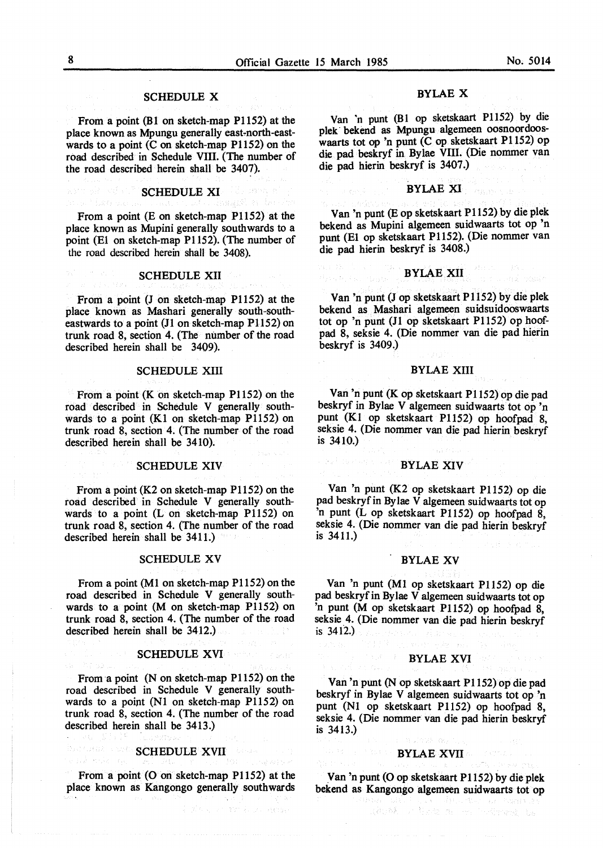## **SCHEDULE X**

From a point (Bl on sketch-map P1152) at the place known as Mpungu generally east-north-eastwards to a point  $(C \text{ on sketch-map } P1152)$  on the road described in Schedule VIII. (The number of the road described herein shall be 3407).

#### SCHEDULE XI

From a point (E on sketch-map P1152) at the place known as Mupini generally southwards to a point (El on sketch-map Pl 152). (The number of the road described herein shall be 3408).

#### SCHEDULE XII

From a point (J on sketch-map P1152) at the place known as Mashari generally south-southeastwards to a point (J1 on sketch-map P1152) on trunk road 8, section 4. (The number of the road described herein shall be 3409).

## SCHEDULE XIII

From a point  $(K \text{ on sketch-map } P1152)$  on the road described in Schedule V generally southwards to a point (Kl on sketch-map P1152) on trunk road 8, section 4. (The number of the road described herein shall be 3410).

#### SCHEDULE XIV

From a point (K2 on sketch-map P1152) on the road described in Schedule V generally southwards to a point (L on sketch-map P1152) on trunk road 8, section 4. (The number of the road described herein shall be 3411.)

#### SCHEDULE XV

From a point (Ml on sketch-map Pl 152) on the road described in Schedule V generally southwards to a point (M on sketch-map P1152) on trunk road 8, section 4. (The number of the road described herein shall be 3412.)

#### SCHEDULE XVI

From a point (N on sketch-map P1152) on the road described in Schedule V generally southwards to a point (NI on sketch-map P1152) on trunk road 8, section 4. (The number of the road described herein shall be 3413.)

# BARGER SCHEDULE XVII (1999)

From a point (O on sketch-map P1152) at the place known as Kangongo generally southwards

#### BYLAE X

Van 'n punt (Bl op sketskaart P1152) by die plek bekend as Mpungu algemeen oosnoordooswaarts tot op 'n punt (C op sketskaart Pl 152) op die pad beskryf in By lae VIII. (Die nommer van die pad hierin beskryf is 3407 .)

#### BYLAE XI

Van 'n punt (E op sketskaart Pl 152) by die plek bekend as Mupini algemeen suidwaarts tot op 'n punt (El op sketskaart Pl 152). (Die nommer van die pad hierin beskryf is 3408.)

#### BYLAE XII

Van 'n punt (J op sketskaart P1152) by die plek bekend as Mashari algemeen suidsuidooswaarts tot op 'n punt (JI op sketskaart P1152) op hoofpad 8, seksie 4. (Die nommer van die pad hierin beskryf is 3409.)

#### BYLAE XIII

Van 'n punt (K op sketskaart Pl 152) op die pad beskryf in Bylae V algemeen suidwaarts tot op 'n punt (Kl op sketskaart Pl 152) op hoofpad 8, seksie 4. (Die nommer van die pad hierin beskryf is 3410.)

#### BYLAE XIV

Van 'n punt (K2 op sketskaart P1152) op die pad beskryf in By lae V algemeen suidwaarts tot op 'n punt (L op sketskaart P1152) op hoofpad 8, seksie 4. (Die nommer van die pad hierin beskryf is 3411.)

#### BYLAE XV

Van 'n punt (Ml op sketskaart P1152) op die pad beskryfin Bylae V algemeen suidwaarts tot op 'n punt (M op sketskaart Pl 152) op hoofpad 8, seksie 4. (Die nommer van die pad hierin beskryf is 3412.)

#### BYLAE XVI

Van 'n punt (N op sketskaart Pl 152) op die pad beskryf in Bylae V algemeen suidwaarts tot op 'n punt (NI op sketskaart Pl152) op hoofpad 8, seksie 4. (Die nommer van die pad hierin beskryf is 3413.)

#### BYLAE XVII

Van 'n punt (O op sketskaart Pl 152) by die plek bekend as Kangongo algemeen suidwaarts tot op

adomní termina a se poderné ta

이 바람이 나는 아직 사람들이 나왔다.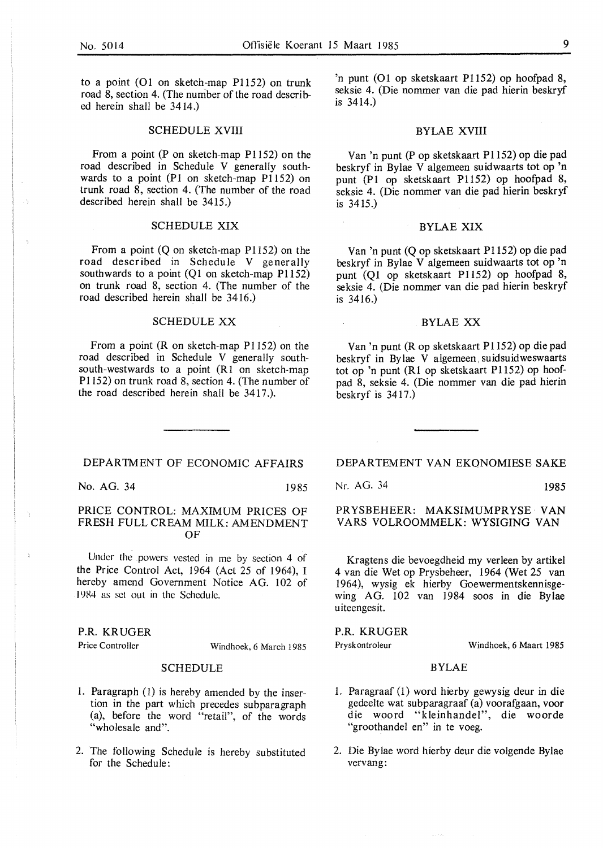to a point (01 on sketch-map P1152) on trunk road 8, section 4. (The number of the road described herein shall be 3414.)

## SCHEDULE XVIII

From a point (P on sketch-map P1152) on the road described in Schedule V generally southwards to a point (Pl on sketch-map P1152) on trunk road 8, section 4. (The number of the road described herein shall be 3415.)

### SCHEDULE XIX

From a point (Q on sketch-map P1152) on the road described in Schedule V generally southwards to a point (Q1 on sketch-map P1152) on trunk road 8, section 4. (The number of the road described herein shall be 3416.)

## SCHEDULE XX

From a point **(R** on sketch-map Pl 152) on the road described in Schedule V generally southsouth-westwards to a point (Rl on sketch-map Pl 152) on trunk road 8, section 4. (The number of the road described herein shall be 3417 .).

'n punt (01 op sketskaart P1152) op hoofpad 8, seksie 4. (Die nommer van die pad hierin beskryf is 3414.)

### BYLAE XVIII

Van 'n punt (Pop sketskaart Pl 152) op die pad beskryf in Bylae V algemeen suidwaarts tot op 'n punt (Pl op sketskaart P1152) op hoofpad 8, seksie 4. (Die nommer van die pad hierin beskryf is 3415.)

## BYLAE XIX

Van 'n punt **(Q** op sketskaart Pl 152) op die pad beskryf in Bylae V algemeen suidwaarts tot op 'n punt (Ql op sketskaart Pl 152) op hoofpad 8, seksie 4. (Die nommer van die pad hierin beskryf is 3416.)

## BYLAE XX

Van 'n punt (R op sketskaart Pl 152) op die pad beskryf in Bylae V algemeen, suidsuidweswaarts tot op 'n punt (RI op sketskaart P1152) op hoofpad 8, seksie 4. (Die nommer van die pad hierin beskryf is 3417.)

## DEPARTMENT OF ECONOMIC AFFAIRS

No. AG. 34 1985

## PRICE CONTROL: MAXIMUM PRICES OF FRESH FULL CREAM MILK: AMENDMENT OF

Under the powers vested in me by section 4 of the Price Control Act, 1964 (Act 25 of 1964), I hereby amend Government Notice AG. 102 of 1984 as set out in the Schedule.

### P.R. KRUGER

Price Controller Windhoek, 6 March 1985

## SCHEDULE

- 1. Paragraph (1) is hereby amended by the insertion in the part which precedes subparagraph (a), before the word "retail", of the words "wholesale and".
- 2. The following Schedule is hereby substituted for the Schedule:

DEPARTEMENT VAN EKONOMIESE SAKE

Nr. AG. 34 1985

 $\overline{a}$ 

PRYSBEHEER: MAKSIMUMPRYSE · VAN VARS VOLROOMMELK: WYSIGING VAN

Kragtens die bevoegdheid my verleen by artikel 4 van die Wet op Prysbeheer, 1964 (Wet 25 van 1964), wysig ek hierby Goewermentskennisgewing AG. 102 van 1984 soos in die Bylae uiteengesit.

**P.R.** KRUGER

Pryskontroleur

Windhoek, 6 Maart 1985

## BYLAE

- 1. Paragraaf (1) word hierby gewysig deur in die gedeelte wat subparagraaf (a) voorafgaan, voor die woord "kleinhandel", die woorde "groothandel en" in te voeg.
- 2. Die By Jae word hierby deur die volgende Bylae vervang: